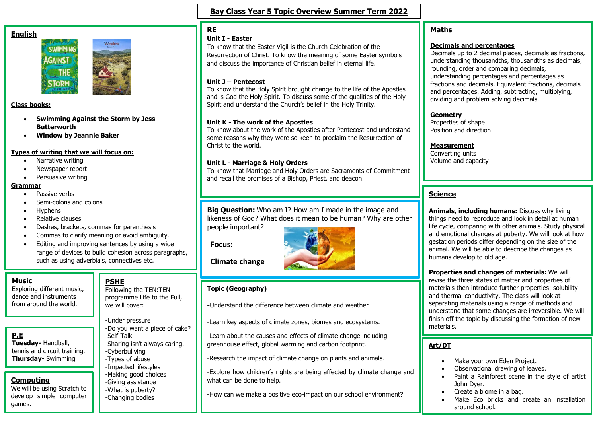#### **English**





#### **Class books:**

- **Swimming Against the Storm by Jess Butterworth**
- **Window by Jeannie Baker**

#### **Types of writing that we will focus on:**

- Narrative writing
- Newspaper report
- Persuasive writing

#### **Grammar**

- Passive verbs
- Semi-colons and colons
- Hyphens
- Relative clauses
- Dashes, brackets, commas for parenthesis
- Commas to clarify meaning or avoid ambiguity.
- Editing and improving sentences by using a wide range of devices to build cohesion across paragraphs, such as using adverbials, connectives etc.

#### **Music**

Exploring different music, dance and instruments from around the world.

# **P.E**

**Tuesday-** Handball, tennis and circuit training. **Thursday-** Swimming

# **Computing**

We will be using Scratch to develop simple computer games.

we will cover:

-Under pressure -Do you want a piece of cake? -Self-Talk -Sharing isn't always caring. -Cyberbullying -Types of abuse -Impacted lifestyles -Making good choices -Giving assistance -What is puberty? -Changing bodies

# **Bay Class Year 5 Topic Overview Summer Term 2022**

# **RE**

### **Unit I - Easter**

To know that the Easter Vigil is the Church Celebration of the Resurrection of Christ. To know the meaning of some Easter symbols and discuss the importance of Christian belief in eternal life.

#### **Unit J – Pentecost**

To know that the Holy Spirit brought change to the life of the Apostles and is God the Holy Spirit. To discuss some of the qualities of the Holy Spirit and understand the Church's belief in the Holy Trinity.

#### **Unit K - The work of the Apostles**

To know about the work of the Apostles after Pentecost and understand some reasons why they were so keen to proclaim the Resurrection of Christ to the world.

#### **Unit L - Marriage & Holy Orders**

To know that Marriage and Holy Orders are Sacraments of Commitment and recall the promises of a Bishop, Priest, and deacon.

#### **Big Question:** Who am I? How am I made in the image and likeness of God? What does it mean to be human? Why are other people important?

**Focus:**



**Climate change**

## **Topic (Geography)**

**-**Understand the difference between climate and weather

-Learn key aspects of climate zones, biomes and ecosystems.

-Learn about the causes and effects of climate change including greenhouse effect, global warming and carbon footprint.

-Research the impact of climate change on plants and animals.

-Explore how children's rights are being affected by climate change and what can be done to help.

-How can we make a positive eco-impact on our school environment?

# **Maths**

#### **Decimals and percentages**

Decimals up to 2 decimal places, decimals as fractions, understanding thousandths, thousandths as decimals, rounding, order and comparing decimals, understanding percentages and percentages as fractions and decimals. Equivalent fractions, decimals and percentages. Adding, subtracting, multiplying, dividing and problem solving decimals.

#### **Geometry**

Properties of shape Position and direction

#### **Measurement**

Converting units Volume and capacity

# **Science**

**Animals, including humans:** Discuss why living things need to reproduce and look in detail at human life cycle, comparing with other animals. Study physical and emotional changes at puberty. We will look at how gestation periods differ depending on the size of the animal. We will be able to describe the changes as humans develop to old age.

**Properties and changes of materials:** We will revise the three states of matter and properties of materials then introduce further properties: solubility and thermal conductivity. The class will look at separating materials using a range of methods and understand that some changes are irreversible. We will finish off the topic by discussing the formation of new materials.

#### **Art/DT**

- Make your own Eden Project.
- Observational drawing of leaves.
- Paint a Rainforest scene in the style of artist John Dyer.
- Create a biome in a bag.
- Make Eco bricks and create an installation around school.

Following the TEN:TEN programme Life to the Full,

**PSHE**